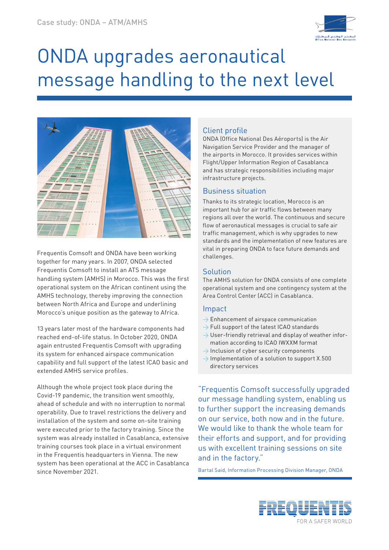

# ONDA upgrades aeronautical message handling to the next level



Frequentis Comsoft and ONDA have been working together for many years. In 2007, ONDA selected Frequentis Comsoft to install an ATS message handling system (AMHS) in Morocco. This was the first operational system on the African continent using the AMHS technology, thereby improving the connection between North Africa and Europe and underlining Morocco's unique position as the gateway to Africa.

13 years later most of the hardware components had reached end-of-life status. In October 2020, ONDA again entrusted Frequentis Comsoft with upgrading its system for enhanced airspace communication capability and full support of the latest ICAO basic and extended AMHS service profiles.

Although the whole project took place during the Covid-19 pandemic, the transition went smoothly, ahead of schedule and with no interruption to normal operability. Due to travel restrictions the delivery and installation of the system and some on-site training were executed prior to the factory training. Since the system was already installed in Casablanca, extensive training courses took place in a virtual environment in the Frequentis headquarters in Vienna. The new system has been operational at the ACC in Casablanca since November 2021.

# Client profile

ONDA (Office National Des Aéroports) is the Air Navigation Service Provider and the manager of the airports in Morocco. It provides services within Flight/Upper Information Region of Casablanca and has strategic responsibilities including major infrastructure projects.

## Business situation

Thanks to its strategic location, Morocco is an important hub for air traffic flows between many regions all over the world. The continuous and secure flow of aeronautical messages is crucial to safe air traffic management, which is why upgrades to new standards and the implementation of new features are vital in preparing ONDA to face future demands and challenges.

### **Solution**

The AMHS solution for ONDA consists of one complete operational system and one contingency system at the Area Control Center (ACC) in Casablanca.

### Impact

- $\rightarrow$  Enhancement of airspace communication
- $\rightarrow$  Full support of the latest ICAO standards
- $\rightarrow$  User-friendly retrieval and display of weather information according to ICAO IWXXM format
- $\rightarrow$  Inclusion of cyber security components
- $\rightarrow$  Implementation of a solution to support X.500 directory services

"Frequentis Comsoft successfully upgraded our message handling system, enabling us to further support the increasing demands on our service, both now and in the future. We would like to thank the whole team for their efforts and support, and for providing us with excellent training sessions on site and in the factory."

Bartal Said, Information Processing Division Manager, ONDA